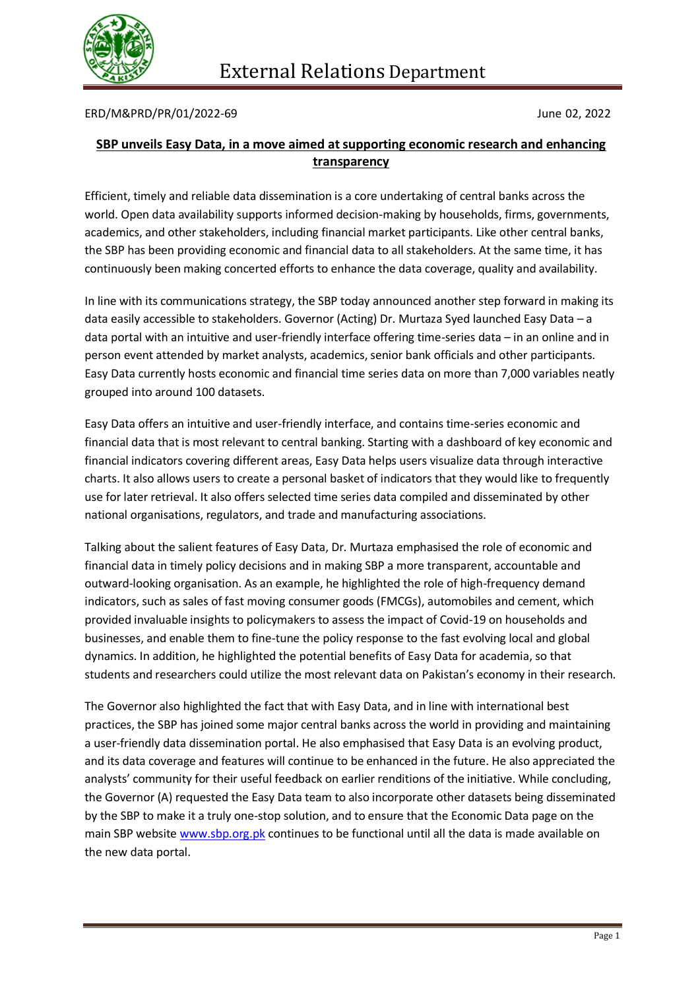

## ERD/M&PRD/PR/01/2022-69 June 02, 2022

## **SBP unveils Easy Data, in a move aimed at supporting economic research and enhancing transparency**

Efficient, timely and reliable data dissemination is a core undertaking of central banks across the world. Open data availability supports informed decision-making by households, firms, governments, academics, and other stakeholders, including financial market participants. Like other central banks, the SBP has been providing economic and financial data to all stakeholders. At the same time, it has continuously been making concerted efforts to enhance the data coverage, quality and availability.

In line with its communications strategy, the SBP today announced another step forward in making its data easily accessible to stakeholders. Governor (Acting) Dr. Murtaza Syed launched Easy Data – a data portal with an intuitive and user-friendly interface offering time-series data – in an online and in person event attended by market analysts, academics, senior bank officials and other participants. Easy Data currently hosts economic and financial time series data on more than 7,000 variables neatly grouped into around 100 datasets.

Easy Data offers an intuitive and user-friendly interface, and contains time-series economic and financial data that is most relevant to central banking. Starting with a dashboard of key economic and financial indicators covering different areas, Easy Data helps users visualize data through interactive charts. It also allows users to create a personal basket of indicators that they would like to frequently use for later retrieval. It also offers selected time series data compiled and disseminated by other national organisations, regulators, and trade and manufacturing associations.

Talking about the salient features of Easy Data, Dr. Murtaza emphasised the role of economic and financial data in timely policy decisions and in making SBP a more transparent, accountable and outward-looking organisation. As an example, he highlighted the role of high-frequency demand indicators, such as sales of fast moving consumer goods (FMCGs), automobiles and cement, which provided invaluable insights to policymakers to assess the impact of Covid-19 on households and businesses, and enable them to fine-tune the policy response to the fast evolving local and global dynamics. In addition, he highlighted the potential benefits of Easy Data for academia, so that students and researchers could utilize the most relevant data on Pakistan's economy in their research.

The Governor also highlighted the fact that with Easy Data, and in line with international best practices, the SBP has joined some major central banks across the world in providing and maintaining a user-friendly data dissemination portal. He also emphasised that Easy Data is an evolving product, and its data coverage and features will continue to be enhanced in the future. He also appreciated the analysts' community for their useful feedback on earlier renditions of the initiative. While concluding, the Governor (A) requested the Easy Data team to also incorporate other datasets being disseminated by the SBP to make it a truly one-stop solution, and to ensure that the Economic Data page on the main SBP website [www.sbp.org.pk](http://www.sbp.org.pk/) continues to be functional until all the data is made available on the new data portal.